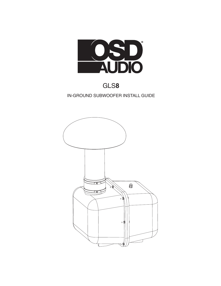

GLS**8**

### IN-GROUND SUBWOOFER INSTALL GUIDE

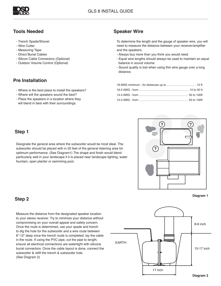

#### **Tools Needed**

- Trench Spade/Shovel
- Wire Cutter
- Measuring Tape
- Direct Burial Cables
- Silicon Cable Connectors (Optional)
- Outdoor Volume Control (Optional)

### **Pre Installation**

- Where is the best place to install the speakers?
- Where will the speakers sound the best?
- Place the speakers in a location where they will blend in best with their surroundings.

# **Speaker Wire**

To determine the length and the gauge of speaker wire, you will need to measure the distance between your receiver/amplifier and the speakers.

- Always buy more than you think you would need.
- Equal wire lengths should always be used to maintain an equal balance in sound volume.
- Sound quality is lost when using thin wire gauge over a long distance.

# **Step 1**

Designate the general area where the subwoofer would be most ideal. The subwoofer should be placed with in 20 feet of the general listening area for optimum performance. (See Diagram1) The shape and finish would blend particularly well in your landscape if it is placed near landscape lighting, water fountain, open planter or swimming pool.



**Diagram 1**

## **Step 2**

Measure the distance from the designated speaker location to your stereo receiver. Try to minimize your distance without compromising on your overall appeal and safety concern. Once the route is determined, use your spade and trench to dig the hole for the subwoofer and a wire route between 8"-12" deep once the trench route is completed, lay the cable in the route. If using the PVC pipe, cut the pipe to length, ensure all electrical connections are watertight with silicone burial connectors. Once the cable layout is done, connect the subwoofer & refill the trench & subwoofer hole. (See Diagram 2)

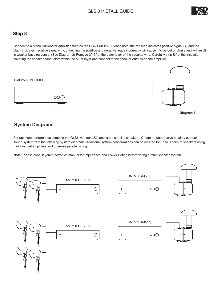

## **Step 3**

Connect to a Mono Subwoofer Amplifier such as the OSD SMP250. Please note, the red lead indicates positive signal (+) and the black indicates negative signal (-). Connecting the positive and negative leads incorrectly will cause it to be out of phase and will result in weaker bass response. (See Diagram 3) Remove 2"- 3" of the outer layer of the speaker wire. Carefully strip 1/2" of the insulation covering the speaker conductors within the outer layer and connect to the speaker outputs on the amplifier.



# **System Diagrams**

For optimum performance combine the GLS8 with our LS2 landscape satellite speakers. Create an unobtrusive stealthy outdoor sound system with the following system diagrams. Additional system configurations can be created for up to 8 pairs of speakers using multichannel amplifiers and or series parallel wiring.

**Note:** Please consult your electronics manual for Impedance and Power Rating before wiring a multi speaker system.